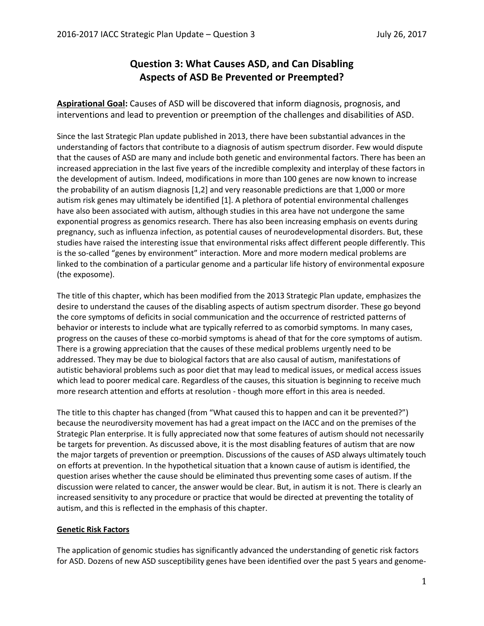# **Question 3: What Causes ASD, and Can Disabling Aspects of ASD Be Prevented or Preempted?**

**Aspirational Goal:** Causes of ASD will be discovered that inform diagnosis, prognosis, and interventions and lead to prevention or preemption of the challenges and disabilities of ASD.

Since the last Strategic Plan update published in 2013, there have been substantial advances in the understanding of factors that contribute to a diagnosis of autism spectrum disorder. Few would dispute that the causes of ASD are many and include both genetic and environmental factors. There has been an increased appreciation in the last five years of the incredible complexity and interplay of these factors in the development of autism. Indeed, modifications in more than 100 genes are now known to increase the probability of an autism diagnosis [1,2] and very reasonable predictions are that 1,000 or more autism risk genes may ultimately be identified [1]. A plethora of potential environmental challenges have also been associated with autism, although studies in this area have not undergone the same exponential progress as genomics research. There has also been increasing emphasis on events during pregnancy, such as influenza infection, as potential causes of neurodevelopmental disorders. But, these studies have raised the interesting issue that environmental risks affect different people differently. This is the so-called "genes by environment" interaction. More and more modern medical problems are linked to the combination of a particular genome and a particular life history of environmental exposure (the exposome).

The title of this chapter, which has been modified from the 2013 Strategic Plan update, emphasizes the desire to understand the causes of the disabling aspects of autism spectrum disorder. These go beyond the core symptoms of deficits in social communication and the occurrence of restricted patterns of behavior or interests to include what are typically referred to as comorbid symptoms. In many cases, progress on the causes of these co-morbid symptoms is ahead of that for the core symptoms of autism. There is a growing appreciation that the causes of these medical problems urgently need to be addressed. They may be due to biological factors that are also causal of autism, manifestations of autistic behavioral problems such as poor diet that may lead to medical issues, or medical access issues which lead to poorer medical care. Regardless of the causes, this situation is beginning to receive much more research attention and efforts at resolution - though more effort in this area is needed.

The title to this chapter has changed (from "What caused this to happen and can it be prevented?") because the neurodiversity movement has had a great impact on the IACC and on the premises of the Strategic Plan enterprise. It is fully appreciated now that some features of autism should not necessarily be targets for prevention. As discussed above, it is the most disabling features of autism that are now the major targets of prevention or preemption. Discussions of the causes of ASD always ultimately touch on efforts at prevention. In the hypothetical situation that a known cause of autism is identified, the question arises whether the cause should be eliminated thus preventing some cases of autism. If the discussion were related to cancer, the answer would be clear. But, in autism it is not. There is clearly an increased sensitivity to any procedure or practice that would be directed at preventing the totality of autism, and this is reflected in the emphasis of this chapter.

## **Genetic Risk Factors**

The application of genomic studies has significantly advanced the understanding of genetic risk factors for ASD. Dozens of new ASD susceptibility genes have been identified over the past 5 years and genome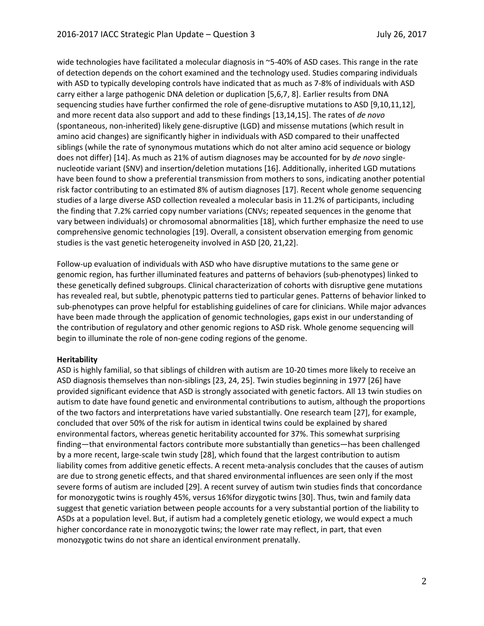wide technologies have facilitated a molecular diagnosis in ~5-40% of ASD cases. This range in the rate of detection depends on the cohort examined and the technology used. Studies comparing individuals with ASD to typically developing controls have indicated that as much as 7-8% of individuals with ASD carry either a large pathogenic DNA deletion or duplication [5,6,7, 8]. Earlier results from DNA sequencing studies have further confirmed the role of gene-disruptive mutations to ASD [9,10,11,12], and more recent data also support and add to these findings [13,14,15]. The rates of *de novo* (spontaneous, non-inherited) likely gene-disruptive (LGD) and missense mutations (which result in amino acid changes) are significantly higher in individuals with ASD compared to their unaffected siblings (while the rate of synonymous mutations which do not alter amino acid sequence or biology does not differ) [14]. As much as 21% of autism diagnoses may be accounted for by *de novo* singlenucleotide variant (SNV) and insertion/deletion mutations [16]. Additionally, inherited LGD mutations have been found to show a preferential transmission from mothers to sons, indicating another potential risk factor contributing to an estimated 8% of autism diagnoses [17]. Recent whole genome sequencing studies of a large diverse ASD collection revealed a molecular basis in 11.2% of participants, including the finding that 7.2% carried copy number variations (CNVs; repeated sequences in the genome that vary between individuals) or chromosomal abnormalities [18], which further emphasize the need to use comprehensive genomic technologies [19]. Overall, a consistent observation emerging from genomic studies is the vast genetic heterogeneity involved in ASD [20, 21,22].

Follow-up evaluation of individuals with ASD who have disruptive mutations to the same gene or genomic region, has further illuminated features and patterns of behaviors (sub-phenotypes) linked to these genetically defined subgroups. Clinical characterization of cohorts with disruptive gene mutations has revealed real, but subtle, phenotypic patterns tied to particular genes. Patterns of behavior linked to sub-phenotypes can prove helpful for establishing guidelines of care for clinicians. While major advances have been made through the application of genomic technologies, gaps exist in our understanding of the contribution of regulatory and other genomic regions to ASD risk. Whole genome sequencing will begin to illuminate the role of non-gene coding regions of the genome.

#### **Heritability**

ASD is highly familial, so that siblings of children with autism are 10-20 times more likely to receive an ASD diagnosis themselves than non-siblings [23, 24, 25]. Twin studies beginning in 1977 [26] have provided significant evidence that ASD is strongly associated with genetic factors. All 13 twin studies on autism to date have found genetic and environmental contributions to autism, although the proportions of the two factors and interpretations have varied substantially. One research team [27], for example, concluded that over 50% of the risk for autism in identical twins could be explained by shared environmental factors, whereas genetic heritability accounted for 37%. This somewhat surprising finding—that environmental factors contribute more substantially than genetics—has been challenged by a more recent, large-scale twin study [28], which found that the largest contribution to autism liability comes from additive genetic effects. A recent meta-analysis concludes that the causes of autism are due to strong genetic effects, and that shared environmental influences are seen only if the most severe forms of autism are included [29]. A recent survey of autism twin studies finds that concordance for monozygotic twins is roughly 45%, versus 16%for dizygotic twins [30]. Thus, twin and family data suggest that genetic variation between people accounts for a very substantial portion of the liability to ASDs at a population level. But, if autism had a completely genetic etiology, we would expect a much higher concordance rate in monozygotic twins; the lower rate may reflect, in part, that even monozygotic twins do not share an identical environment prenatally.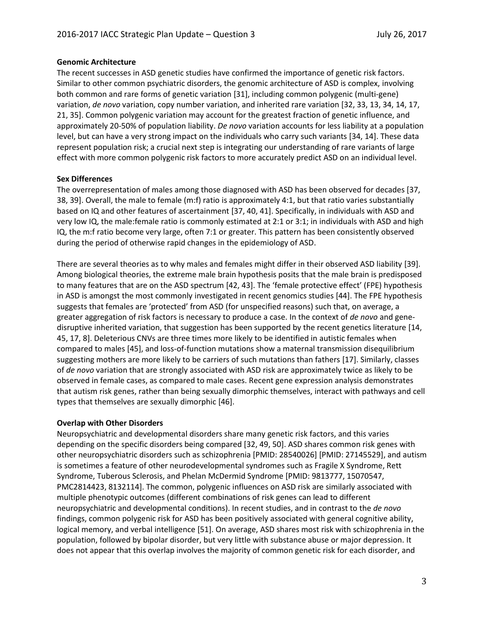## **Genomic Architecture**

The recent successes in ASD genetic studies have confirmed the importance of genetic risk factors. Similar to other common psychiatric disorders, the genomic architecture of ASD is complex, involving both common and rare forms of genetic variation [31], including common polygenic (multi-gene) variation, *de novo* variation, copy number variation, and inherited rare variation [32, 33, 13, 34, 14, 17, 21, 35]. Common polygenic variation may account for the greatest fraction of genetic influence, and approximately 20-50% of population liability. *De novo* variation accounts for less liability at a population level, but can have a very strong impact on the individuals who carry such variants [34, 14]. These data represent population risk; a crucial next step is integrating our understanding of rare variants of large effect with more common polygenic risk factors to more accurately predict ASD on an individual level.

# **Sex Differences**

The overrepresentation of males among those diagnosed with ASD has been observed for decades [37, 38, 39]. Overall, the male to female (m:f) ratio is approximately 4:1, but that ratio varies substantially based on IQ and other features of ascertainment [37, 40, 41]. Specifically, in individuals with ASD and very low IQ, the male:female ratio is commonly estimated at 2:1 or 3:1; in individuals with ASD and high IQ, the m:f ratio become very large, often 7:1 or greater. This pattern has been consistently observed during the period of otherwise rapid changes in the epidemiology of ASD.

There are several theories as to why males and females might differ in their observed ASD liability [39]. Among biological theories, the extreme male brain hypothesis posits that the male brain is predisposed to many features that are on the ASD spectrum [42, 43]. The 'female protective effect' (FPE) hypothesis in ASD is amongst the most commonly investigated in recent genomics studies [44]. The FPE hypothesis suggests that females are 'protected' from ASD (for unspecified reasons) such that, on average, a greater aggregation of risk factors is necessary to produce a case. In the context of *de novo* and genedisruptive inherited variation, that suggestion has been supported by the recent genetics literature [14, 45, 17, 8]. Deleterious CNVs are three times more likely to be identified in autistic females when compared to males [45], and loss-of-function mutations show a maternal transmission disequilibrium suggesting mothers are more likely to be carriers of such mutations than fathers [17]. Similarly, classes of *de novo* variation that are strongly associated with ASD risk are approximately twice as likely to be observed in female cases, as compared to male cases. Recent gene expression analysis demonstrates that autism risk genes, rather than being sexually dimorphic themselves, interact with pathways and cell types that themselves are sexually dimorphic [46].

## **Overlap with Other Disorders**

Neuropsychiatric and developmental disorders share many genetic risk factors, and this varies depending on the specific disorders being compared [32, 49, 50]. ASD shares common risk genes with other neuropsychiatric disorders such as schizophrenia [PMID: 28540026] [PMID: 27145529], and autism is sometimes a feature of other neurodevelopmental syndromes such as Fragile X Syndrome, Rett Syndrome, Tuberous Sclerosis, and Phelan McDermid Syndrome [PMID: 9813777, 15070547, PMC2814423, 8132114]. The common, polygenic influences on ASD risk are similarly associated with multiple phenotypic outcomes (different combinations of risk genes can lead to different neuropsychiatric and developmental conditions). In recent studies, and in contrast to the *de novo* findings, common polygenic risk for ASD has been positively associated with general cognitive ability, logical memory, and verbal intelligence [51]. On average, ASD shares most risk with schizophrenia in the population, followed by bipolar disorder, but very little with substance abuse or major depression. It does not appear that this overlap involves the majority of common genetic risk for each disorder, and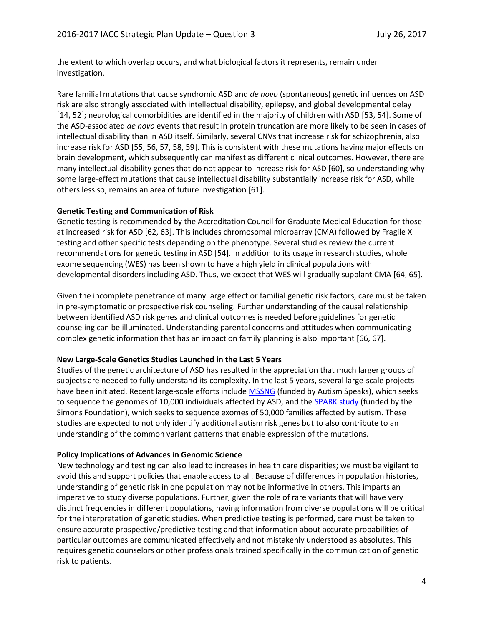the extent to which overlap occurs, and what biological factors it represents, remain under investigation.

Rare familial mutations that cause syndromic ASD and *de novo* (spontaneous) genetic influences on ASD risk are also strongly associated with intellectual disability, epilepsy, and global developmental delay [14, 52]; neurological comorbidities are identified in the majority of children with ASD [53, 54]. Some of the ASD-associated *de novo* events that result in protein truncation are more likely to be seen in cases of intellectual disability than in ASD itself. Similarly, several CNVs that increase risk for schizophrenia, also increase risk for ASD [55, 56, 57, 58, 59]. This is consistent with these mutations having major effects on brain development, which subsequently can manifest as different clinical outcomes. However, there are many intellectual disability genes that do not appear to increase risk for ASD [60], so understanding why some large-effect mutations that cause intellectual disability substantially increase risk for ASD, while others less so, remains an area of future investigation [61].

## **Genetic Testing and Communication of Risk**

Genetic testing is recommended by the Accreditation Council for Graduate Medical Education for those at increased risk for ASD [62, 63]. This includes chromosomal microarray (CMA) followed by Fragile X testing and other specific tests depending on the phenotype. Several studies review the current recommendations for genetic testing in ASD [54]. In addition to its usage in research studies, whole exome sequencing (WES) has been shown to have a high yield in clinical populations with developmental disorders including ASD. Thus, we expect that WES will gradually supplant CMA [64, 65].

Given the incomplete penetrance of many large effect or familial genetic risk factors, care must be taken in pre-symptomatic or prospective risk counseling. Further understanding of the causal relationship between identified ASD risk genes and clinical outcomes is needed before guidelines for genetic counseling can be illuminated. Understanding parental concerns and attitudes when communicating complex genetic information that has an impact on family planning is also important [66, 67].

## **New Large-Scale Genetics Studies Launched in the Last 5 Years**

Studies of the genetic architecture of ASD has resulted in the appreciation that much larger groups of subjects are needed to fully understand its complexity. In the last 5 years, several large-scale projects have been initiated. Recent large-scale efforts includ[e MSSNG](https://www.mss.ng/) (funded by Autism Speaks), which seeks to sequence the genomes of 10,000 individuals affected by ASD, and the [SPARK study](https://sparkforautism.org/) (funded by the Simons Foundation), which seeks to sequence exomes of 50,000 families affected by autism. These studies are expected to not only identify additional autism risk genes but to also contribute to an understanding of the common variant patterns that enable expression of the mutations.

## **Policy Implications of Advances in Genomic Science**

New technology and testing can also lead to increases in health care disparities; we must be vigilant to avoid this and support policies that enable access to all. Because of differences in population histories, understanding of genetic risk in one population may not be informative in others. This imparts an imperative to study diverse populations. Further, given the role of rare variants that will have very distinct frequencies in different populations, having information from diverse populations will be critical for the interpretation of genetic studies. When predictive testing is performed, care must be taken to ensure accurate prospective/predictive testing and that information about accurate probabilities of particular outcomes are communicated effectively and not mistakenly understood as absolutes. This requires genetic counselors or other professionals trained specifically in the communication of genetic risk to patients.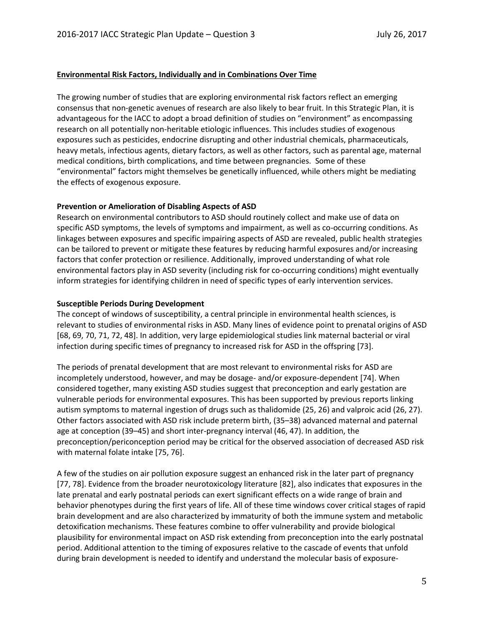#### **Environmental Risk Factors, Individually and in Combinations Over Time**

The growing number of studies that are exploring environmental risk factors reflect an emerging consensus that non-genetic avenues of research are also likely to bear fruit. In this Strategic Plan, it is advantageous for the IACC to adopt a broad definition of studies on "environment" as encompassing research on all potentially non-heritable etiologic influences. This includes studies of exogenous exposures such as pesticides, endocrine disrupting and other industrial chemicals, pharmaceuticals, heavy metals, infectious agents, dietary factors, as well as other factors, such as parental age, maternal medical conditions, birth complications, and time between pregnancies. Some of these "environmental" factors might themselves be genetically influenced, while others might be mediating the effects of exogenous exposure.

#### **Prevention or Amelioration of Disabling Aspects of ASD**

Research on environmental contributors to ASD should routinely collect and make use of data on specific ASD symptoms, the levels of symptoms and impairment, as well as co-occurring conditions. As linkages between exposures and specific impairing aspects of ASD are revealed, public health strategies can be tailored to prevent or mitigate these features by reducing harmful exposures and/or increasing factors that confer protection or resilience. Additionally, improved understanding of what role environmental factors play in ASD severity (including risk for co-occurring conditions) might eventually inform strategies for identifying children in need of specific types of early intervention services.

#### **Susceptible Periods During Development**

The concept of windows of susceptibility, a central principle in environmental health sciences, is relevant to studies of environmental risks in ASD. Many lines of evidence point to prenatal origins of ASD [68, 69, 70, 71, 72, 48]. In addition, very large epidemiological studies link maternal bacterial or viral infection during specific times of pregnancy to increased risk for ASD in the offspring [73].

The periods of prenatal development that are most relevant to environmental risks for ASD are incompletely understood, however, and may be dosage- and/or exposure-dependent [74]. When considered together, many existing ASD studies suggest that preconception and early gestation are vulnerable periods for environmental exposures. This has been supported by previous reports linking autism symptoms to maternal ingestion of drugs such as thalidomide (25, 26) and valproic acid (26, 27). Other factors associated with ASD risk include preterm birth, (35–38) advanced maternal and paternal age at conception (39–45) and short inter-pregnancy interval (46, 47). In addition, the preconception/periconception period may be critical for the observed association of decreased ASD risk with maternal folate intake [75, 76].

A few of the studies on air pollution exposure suggest an enhanced risk in the later part of pregnancy [77, 78]. Evidence from the broader neurotoxicology literature [82], also indicates that exposures in the late prenatal and early postnatal periods can exert significant effects on a wide range of brain and behavior phenotypes during the first years of life. All of these time windows cover critical stages of rapid brain development and are also characterized by immaturity of both the immune system and metabolic detoxification mechanisms. These features combine to offer vulnerability and provide biological plausibility for environmental impact on ASD risk extending from preconception into the early postnatal period. Additional attention to the timing of exposures relative to the cascade of events that unfold during brain development is needed to identify and understand the molecular basis of exposure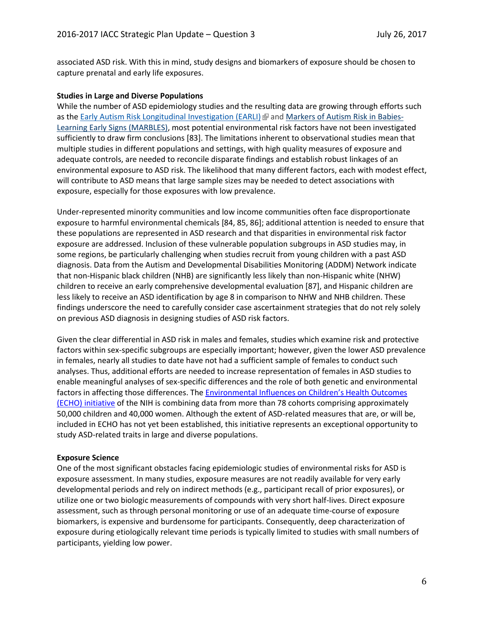associated ASD risk. With this in mind, study designs and biomarkers of exposure should be chosen to capture prenatal and early life exposures.

#### **Studies in Large and Diverse Populations**

While the number of ASD epidemiology studies and the resulting data are growing through efforts such as the Early Autism Risk Longitudinal [Investigation](http://www.earlistudy.org/) (EARLI)  $\mathbb{F}$  and [Markers](http://marbles.ucdavis.edu/) of Autism Risk in Babies-Learning Early Signs [\(MARBLES\),](http://marbles.ucdavis.edu/) most potential environmental risk factors have not been investigated sufficiently to draw firm conclusions [83]. The limitations inherent to observational studies mean that multiple studies in different populations and settings, with high quality measures of exposure and adequate controls, are needed to reconcile disparate findings and establish robust linkages of an environmental exposure to ASD risk. The likelihood that many different factors, each with modest effect, will contribute to ASD means that large sample sizes may be needed to detect associations with exposure, especially for those exposures with low prevalence.

Under-represented minority communities and low income communities often face disproportionate exposure to harmful environmental chemicals [84, 85, 86]; additional attention is needed to ensure that these populations are represented in ASD research and that disparities in environmental risk factor exposure are addressed. Inclusion of these vulnerable population subgroups in ASD studies may, in some regions, be particularly challenging when studies recruit from young children with a past ASD diagnosis. Data from the Autism and Developmental Disabilities Monitoring (ADDM) Network indicate that non-Hispanic black children (NHB) are significantly less likely than non-Hispanic white (NHW) children to receive an early comprehensive developmental evaluation [87], and Hispanic children are less likely to receive an ASD identification by age 8 in comparison to NHW and NHB children. These findings underscore the need to carefully consider case ascertainment strategies that do not rely solely on previous ASD diagnosis in designing studies of ASD risk factors.

Given the clear differential in ASD risk in males and females, studies which examine risk and protective factors within sex-specific subgroups are especially important; however, given the lower ASD prevalence in females, nearly all studies to date have not had a sufficient sample of females to conduct such analyses. Thus, additional efforts are needed to increase representation of females in ASD studies to enable meaningful analyses of sex-specific differences and the role of both genetic and environmental factors in affecting those differences. The [Environmental Influences on Children's Health Outcomes](https://www.nih.gov/echo)  [\(ECHO\) initiative](https://www.nih.gov/echo) of the NIH is combining data from more than 78 cohorts comprising approximately 50,000 children and 40,000 women. Although the extent of ASD-related measures that are, or will be, included in ECHO has not yet been established, this initiative represents an exceptional opportunity to study ASD-related traits in large and diverse populations.

#### **Exposure Science**

One of the most significant obstacles facing epidemiologic studies of environmental risks for ASD is exposure assessment. In many studies, exposure measures are not readily available for very early developmental periods and rely on indirect methods (e.g., participant recall of prior exposures), or utilize one or two biologic measurements of compounds with very short half-lives. Direct exposure assessment, such as through personal monitoring or use of an adequate time-course of exposure biomarkers, is expensive and burdensome for participants. Consequently, deep characterization of exposure during etiologically relevant time periods is typically limited to studies with small numbers of participants, yielding low power.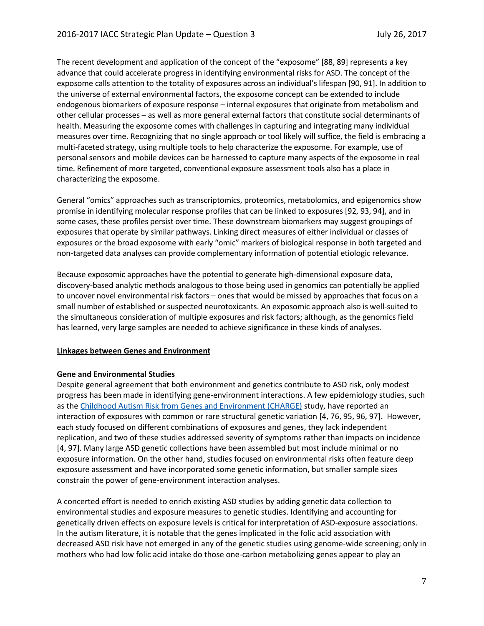The recent development and application of the concept of the "exposome" [88, 89] represents a key advance that could accelerate progress in identifying environmental risks for ASD. The concept of the exposome calls attention to the totality of exposures across an individual's lifespan [90, 91]. In addition to the universe of external environmental factors, the exposome concept can be extended to include endogenous biomarkers of exposure response – internal exposures that originate from metabolism and other cellular processes – as well as more general external factors that constitute social determinants of health. Measuring the exposome comes with challenges in capturing and integrating many individual measures over time. Recognizing that no single approach or tool likely will suffice, the field is embracing a multi-faceted strategy, using multiple tools to help characterize the exposome. For example, use of personal sensors and mobile devices can be harnessed to capture many aspects of the exposome in real time. Refinement of more targeted, conventional exposure assessment tools also has a place in characterizing the exposome.

General "omics" approaches such as transcriptomics, proteomics, metabolomics, and epigenomics show promise in identifying molecular response profiles that can be linked to exposures [92, 93, 94], and in some cases, these profiles persist over time. These downstream biomarkers may suggest groupings of exposures that operate by similar pathways. Linking direct measures of either individual or classes of exposures or the broad exposome with early "omic" markers of biological response in both targeted and non-targeted data analyses can provide complementary information of potential etiologic relevance.

Because exposomic approaches have the potential to generate high-dimensional exposure data, discovery-based analytic methods analogous to those being used in genomics can potentially be applied to uncover novel environmental risk factors – ones that would be missed by approaches that focus on a small number of established or suspected neurotoxicants. An exposomic approach also is well-suited to the simultaneous consideration of multiple exposures and risk factors; although, as the genomics field has learned, very large samples are needed to achieve significance in these kinds of analyses.

## **Linkages between Genes and Environment**

## **Gene and Environmental Studies**

Despite general agreement that both environment and genetics contribute to ASD risk, only modest progress has been made in identifying gene-environment interactions. A few epidemiology studies, such as the Childhood Autism Risk from Genes and [Environment](http://beincharge.ucdavis.edu/) (CHARGE) study, have reported an interaction of exposures with common or rare structural genetic variation [4, 76, 95, 96, 97]. However, each study focused on different combinations of exposures and genes, they lack independent replication, and two of these studies addressed severity of symptoms rather than impacts on incidence [4, 97]. Many large ASD genetic collections have been assembled but most include minimal or no exposure information. On the other hand, studies focused on environmental risks often feature deep exposure assessment and have incorporated some genetic information, but smaller sample sizes constrain the power of gene-environment interaction analyses.

A concerted effort is needed to enrich existing ASD studies by adding genetic data collection to environmental studies and exposure measures to genetic studies. Identifying and accounting for genetically driven effects on exposure levels is critical for interpretation of ASD-exposure associations. In the autism literature, it is notable that the genes implicated in the folic acid association with decreased ASD risk have not emerged in any of the genetic studies using genome-wide screening; only in mothers who had low folic acid intake do those one-carbon metabolizing genes appear to play an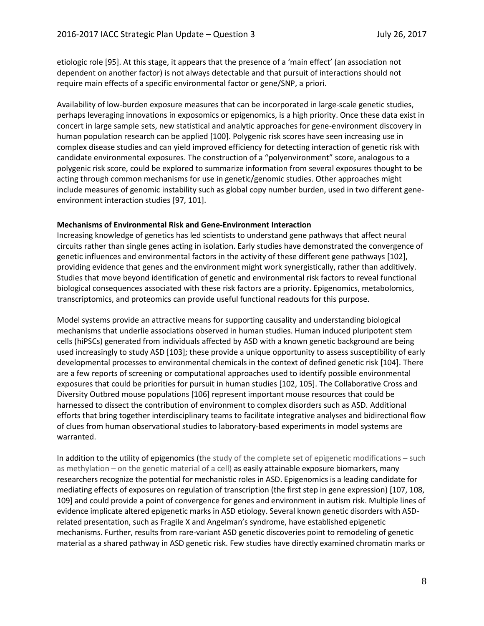etiologic role [95]. At this stage, it appears that the presence of a 'main effect' (an association not dependent on another factor) is not always detectable and that pursuit of interactions should not require main effects of a specific environmental factor or gene/SNP, a priori.

Availability of low-burden exposure measures that can be incorporated in large-scale genetic studies, perhaps leveraging innovations in exposomics or epigenomics, is a high priority. Once these data exist in concert in large sample sets, new statistical and analytic approaches for gene-environment discovery in human population research can be applied [100]. Polygenic risk scores have seen increasing use in complex disease studies and can yield improved efficiency for detecting interaction of genetic risk with candidate environmental exposures. The construction of a "polyenvironment" score, analogous to a polygenic risk score, could be explored to summarize information from several exposures thought to be acting through common mechanisms for use in genetic/genomic studies. Other approaches might include measures of genomic instability such as global copy number burden, used in two different geneenvironment interaction studies [97, 101].

#### **Mechanisms of Environmental Risk and Gene-Environment Interaction**

Increasing knowledge of genetics has led scientists to understand gene pathways that affect neural circuits rather than single genes acting in isolation. Early studies have demonstrated the convergence of genetic influences and environmental factors in the activity of these different gene pathways [102], providing evidence that genes and the environment might work synergistically, rather than additively. Studies that move beyond identification of genetic and environmental risk factors to reveal functional biological consequences associated with these risk factors are a priority. Epigenomics, metabolomics, transcriptomics, and proteomics can provide useful functional readouts for this purpose.

Model systems provide an attractive means for supporting causality and understanding biological mechanisms that underlie associations observed in human studies. Human induced pluripotent stem cells (hiPSCs) generated from individuals affected by ASD with a known genetic background are being used increasingly to study ASD [103]; these provide a unique opportunity to assess susceptibility of early developmental processes to environmental chemicals in the context of defined genetic risk [104]. There are a few reports of screening or computational approaches used to identify possible environmental exposures that could be priorities for pursuit in human studies [102, 105]. The Collaborative Cross and Diversity Outbred mouse populations [106] represent important mouse resources that could be harnessed to dissect the contribution of environment to complex disorders such as ASD. Additional efforts that bring together interdisciplinary teams to facilitate integrative analyses and bidirectional flow of clues from human observational studies to laboratory-based experiments in model systems are warranted.

In addition to the utility of epigenomics (the study of the complete set of epigenetic modifications – such as methylation – on the genetic material of a cell) as easily attainable exposure biomarkers, many researchers recognize the potential for mechanistic roles in ASD. Epigenomics is a leading candidate for mediating effects of exposures on regulation of transcription (the first step in gene expression) [107, 108, 109] and could provide a point of convergence for genes and environment in autism risk. Multiple lines of evidence implicate altered epigenetic marks in ASD etiology. Several known genetic disorders with ASDrelated presentation, such as Fragile X and Angelman's syndrome, have established epigenetic mechanisms. Further, results from rare-variant ASD genetic discoveries point to remodeling of genetic material as a shared pathway in ASD genetic risk. Few studies have directly examined chromatin marks or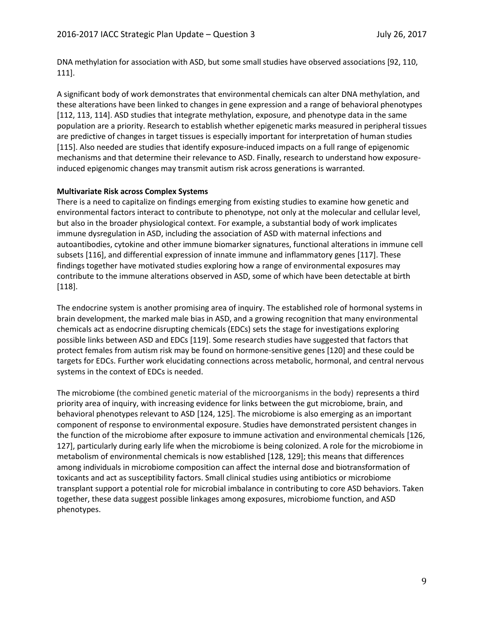DNA methylation for association with ASD, but some small studies have observed associations [92, 110, 111].

A significant body of work demonstrates that environmental chemicals can alter DNA methylation, and these alterations have been linked to changes in gene expression and a range of behavioral phenotypes [112, 113, 114]. ASD studies that integrate methylation, exposure, and phenotype data in the same population are a priority. Research to establish whether epigenetic marks measured in peripheral tissues are predictive of changes in target tissues is especially important for interpretation of human studies [115]. Also needed are studies that identify exposure-induced impacts on a full range of epigenomic mechanisms and that determine their relevance to ASD. Finally, research to understand how exposureinduced epigenomic changes may transmit autism risk across generations is warranted.

#### **Multivariate Risk across Complex Systems**

There is a need to capitalize on findings emerging from existing studies to examine how genetic and environmental factors interact to contribute to phenotype, not only at the molecular and cellular level, but also in the broader physiological context. For example, a substantial body of work implicates immune dysregulation in ASD, including the association of ASD with maternal infections and autoantibodies, cytokine and other immune biomarker signatures, functional alterations in immune cell subsets [116], and differential expression of innate immune and inflammatory genes [117]. These findings together have motivated studies exploring how a range of environmental exposures may contribute to the immune alterations observed in ASD, some of which have been detectable at birth [118].

The endocrine system is another promising area of inquiry. The established role of hormonal systems in brain development, the marked male bias in ASD, and a growing recognition that many environmental chemicals act as endocrine disrupting chemicals (EDCs) sets the stage for investigations exploring possible links between ASD and EDCs [119]. Some research studies have suggested that factors that protect females from autism risk may be found on hormone-sensitive genes [120] and these could be targets for EDCs. Further work elucidating connections across metabolic, hormonal, and central nervous systems in the context of EDCs is needed.

The microbiome (the combined genetic material of the microorganisms in the body) represents a third priority area of inquiry, with increasing evidence for links between the gut microbiome, brain, and behavioral phenotypes relevant to ASD [124, 125]. The microbiome is also emerging as an important component of response to environmental exposure. Studies have demonstrated persistent changes in the function of the microbiome after exposure to immune activation and environmental chemicals [126, 127], particularly during early life when the microbiome is being colonized. A role for the microbiome in metabolism of environmental chemicals is now established [128, 129]; this means that differences among individuals in microbiome composition can affect the internal dose and biotransformation of toxicants and act as susceptibility factors. Small clinical studies using antibiotics or microbiome transplant support a potential role for microbial imbalance in contributing to core ASD behaviors. Taken together, these data suggest possible linkages among exposures, microbiome function, and ASD phenotypes.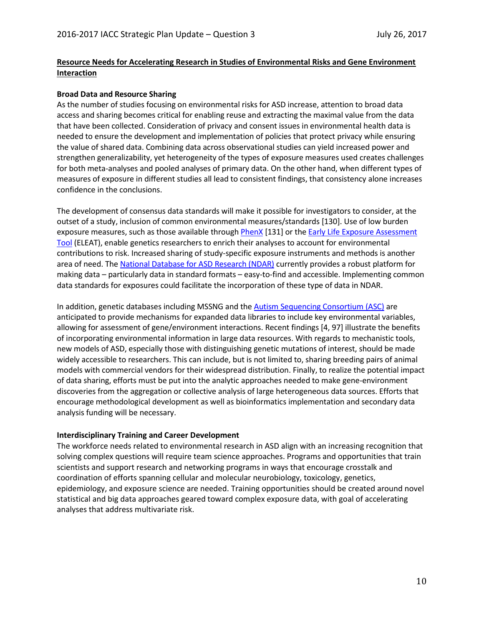# **Resource Needs for Accelerating Research in Studies of Environmental Risks and Gene Environment Interaction**

#### **Broad Data and Resource Sharing**

As the number of studies focusing on environmental risks for ASD increase, attention to broad data access and sharing becomes critical for enabling reuse and extracting the maximal value from the data that have been collected. Consideration of privacy and consent issues in environmental health data is needed to ensure the development and implementation of policies that protect privacy while ensuring the value of shared data. Combining data across observational studies can yield increased power and strengthen generalizability, yet heterogeneity of the types of exposure measures used creates challenges for both meta-analyses and pooled analyses of primary data. On the other hand, when different types of measures of exposure in different studies all lead to consistent findings, that consistency alone increases confidence in the conclusions.

The development of consensus data standards will make it possible for investigators to consider, at the outset of a study, inclusion of common environmental measures/standards [130]. Use of low burden exposure measures, such as those available throug[h PhenX](https://www.phenxtoolkit.org/) [131] or the Early Life Exposure Assessment [Tool](https://eleat.ucdavis.edu/) (ELEAT), enable genetics researchers to enrich their analyses to account for environmental contributions to risk. Increased sharing of study-specific exposure instruments and methods is another area of need. The [National Database for ASD Research \(NDAR\)](https://ndar.nih.gov/) currently provides a robust platform for making data – particularly data in standard formats – easy-to-find and accessible. Implementing common data standards for exposures could facilitate the incorporation of these type of data in NDAR.

In addition, genetic databases including MSSNG and the [Autism Sequencing Consortium](https://genome.emory.edu/ASC/) (ASC) are anticipated to provide mechanisms for expanded data libraries to include key environmental variables, allowing for assessment of gene/environment interactions. Recent findings [4, 97] illustrate the benefits of incorporating environmental information in large data resources. With regards to mechanistic tools, new models of ASD, especially those with distinguishing genetic mutations of interest, should be made widely accessible to researchers. This can include, but is not limited to, sharing breeding pairs of animal models with commercial vendors for their widespread distribution. Finally, to realize the potential impact of data sharing, efforts must be put into the analytic approaches needed to make gene-environment discoveries from the aggregation or collective analysis of large heterogeneous data sources. Efforts that encourage methodological development as well as bioinformatics implementation and secondary data analysis funding will be necessary.

## **Interdisciplinary Training and Career Development**

The workforce needs related to environmental research in ASD align with an increasing recognition that solving complex questions will require team science approaches. Programs and opportunities that train scientists and support research and networking programs in ways that encourage crosstalk and coordination of efforts spanning cellular and molecular neurobiology, toxicology, genetics, epidemiology, and exposure science are needed. Training opportunities should be created around novel statistical and big data approaches geared toward complex exposure data, with goal of accelerating analyses that address multivariate risk.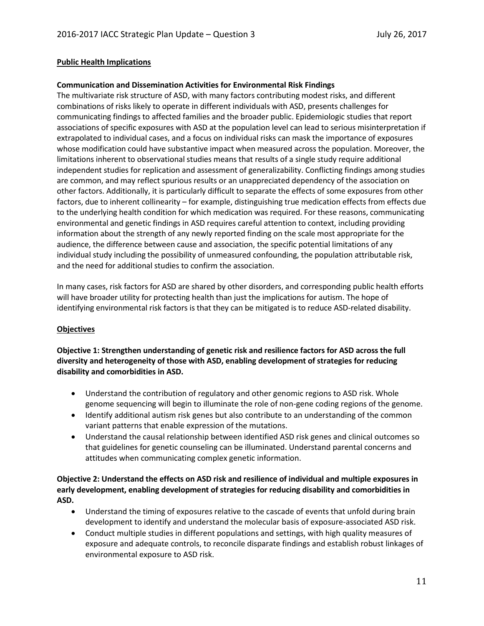# **Public Health Implications**

# **Communication and Dissemination Activities for Environmental Risk Findings**

The multivariate risk structure of ASD, with many factors contributing modest risks, and different combinations of risks likely to operate in different individuals with ASD, presents challenges for communicating findings to affected families and the broader public. Epidemiologic studies that report associations of specific exposures with ASD at the population level can lead to serious misinterpretation if extrapolated to individual cases, and a focus on individual risks can mask the importance of exposures whose modification could have substantive impact when measured across the population. Moreover, the limitations inherent to observational studies means that results of a single study require additional independent studies for replication and assessment of generalizability. Conflicting findings among studies are common, and may reflect spurious results or an unappreciated dependency of the association on other factors. Additionally, it is particularly difficult to separate the effects of some exposures from other factors, due to inherent collinearity – for example, distinguishing true medication effects from effects due to the underlying health condition for which medication was required. For these reasons, communicating environmental and genetic findings in ASD requires careful attention to context, including providing information about the strength of any newly reported finding on the scale most appropriate for the audience, the difference between cause and association, the specific potential limitations of any individual study including the possibility of unmeasured confounding, the population attributable risk, and the need for additional studies to confirm the association.

In many cases, risk factors for ASD are shared by other disorders, and corresponding public health efforts will have broader utility for protecting health than just the implications for autism. The hope of identifying environmental risk factors is that they can be mitigated is to reduce ASD-related disability.

# **Objectives**

**Objective 1: Strengthen understanding of genetic risk and resilience factors for ASD across the full diversity and heterogeneity of those with ASD, enabling development of strategies for reducing disability and comorbidities in ASD.**

- Understand the contribution of regulatory and other genomic regions to ASD risk. Whole genome sequencing will begin to illuminate the role of non-gene coding regions of the genome.
- Identify additional autism risk genes but also contribute to an understanding of the common variant patterns that enable expression of the mutations.
- Understand the causal relationship between identified ASD risk genes and clinical outcomes so that guidelines for genetic counseling can be illuminated. Understand parental concerns and attitudes when communicating complex genetic information.

# **Objective 2: Understand the effects on ASD risk and resilience of individual and multiple exposures in early development, enabling development of strategies for reducing disability and comorbidities in ASD.**

- Understand the timing of exposures relative to the cascade of events that unfold during brain development to identify and understand the molecular basis of exposure-associated ASD risk.
- Conduct multiple studies in different populations and settings, with high quality measures of exposure and adequate controls, to reconcile disparate findings and establish robust linkages of environmental exposure to ASD risk.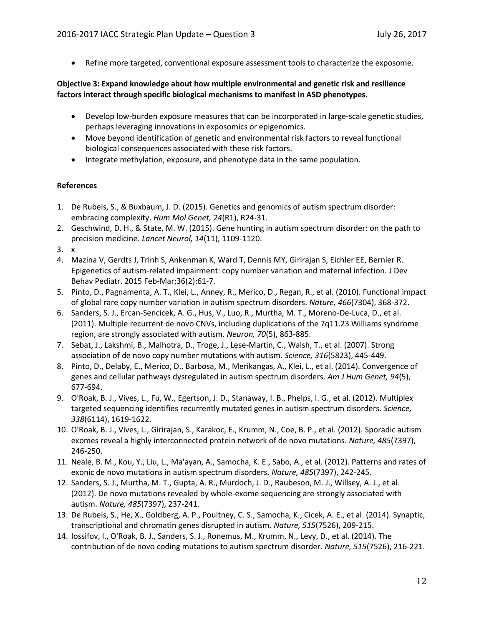• Refine more targeted, conventional exposure assessment tools to characterize the exposome.

# **Objective 3: Expand knowledge about how multiple environmental and genetic risk and resilience factors interact through specific biological mechanisms to manifest in ASD phenotypes.**

- Develop low-burden exposure measures that can be incorporated in large-scale genetic studies, perhaps leveraging innovations in exposomics or epigenomics.
- Move beyond identification of genetic and environmental risk factors to reveal functional biological consequences associated with these risk factors.
- Integrate methylation, exposure, and phenotype data in the same population.

## **References**

- 1. De Rubeis, S., & Buxbaum, J. D. (2015). Genetics and genomics of autism spectrum disorder: embracing complexity. *Hum Mol Genet, 24*(R1), R24-31.
- 2. Geschwind, D. H., & State, M. W. (2015). Gene hunting in autism spectrum disorder: on the path to precision medicine. *Lancet Neurol, 14*(11), 1109-1120.
- 3. x
- 4. Mazina V, Gerdts J, Trinh S, Ankenman K, Ward T, Dennis MY, Girirajan S, Eichler EE, Bernier R. Epigenetics of autism-related impairment: copy number variation and maternal infection. J Dev Behav Pediatr. 2015 Feb-Mar;36(2):61-7.
- 5. Pinto, D., Pagnamenta, A. T., Klei, L., Anney, R., Merico, D., Regan, R., et al. (2010). Functional impact of global rare copy number variation in autism spectrum disorders. *Nature, 466*(7304), 368-372.
- 6. Sanders, S. J., Ercan-Sencicek, A. G., Hus, V., Luo, R., Murtha, M. T., Moreno-De-Luca, D., et al. (2011). Multiple recurrent de novo CNVs, including duplications of the 7q11.23 Williams syndrome region, are strongly associated with autism. *Neuron, 70*(5), 863-885.
- 7. Sebat, J., Lakshmi, B., Malhotra, D., Troge, J., Lese-Martin, C., Walsh, T., et al. (2007). Strong association of de novo copy number mutations with autism. *Science, 316*(5823), 445-449.
- 8. Pinto, D., Delaby, E., Merico, D., Barbosa, M., Merikangas, A., Klei, L., et al. (2014). Convergence of genes and cellular pathways dysregulated in autism spectrum disorders. *Am J Hum Genet, 94*(5), 677-694.
- 9. O'Roak, B. J., Vives, L., Fu, W., Egertson, J. D., Stanaway, I. B., Phelps, I. G., et al. (2012). Multiplex targeted sequencing identifies recurrently mutated genes in autism spectrum disorders. *Science, 338*(6114), 1619-1622.
- 10. O'Roak, B. J., Vives, L., Girirajan, S., Karakoc, E., Krumm, N., Coe, B. P., et al. (2012). Sporadic autism exomes reveal a highly interconnected protein network of de novo mutations. *Nature, 485*(7397), 246-250.
- 11. Neale, B. M., Kou, Y., Liu, L., Ma'ayan, A., Samocha, K. E., Sabo, A., et al. (2012). Patterns and rates of exonic de novo mutations in autism spectrum disorders. *Nature, 485*(7397), 242-245.
- 12. Sanders, S. J., Murtha, M. T., Gupta, A. R., Murdoch, J. D., Raubeson, M. J., Willsey, A. J., et al. (2012). De novo mutations revealed by whole-exome sequencing are strongly associated with autism. *Nature, 485*(7397), 237-241.
- 13. De Rubeis, S., He, X., Goldberg, A. P., Poultney, C. S., Samocha, K., Cicek, A. E., et al. (2014). Synaptic, transcriptional and chromatin genes disrupted in autism. *Nature, 515*(7526), 209-215.
- 14. Iossifov, I., O'Roak, B. J., Sanders, S. J., Ronemus, M., Krumm, N., Levy, D., et al. (2014). The contribution of de novo coding mutations to autism spectrum disorder. *Nature, 515*(7526), 216-221.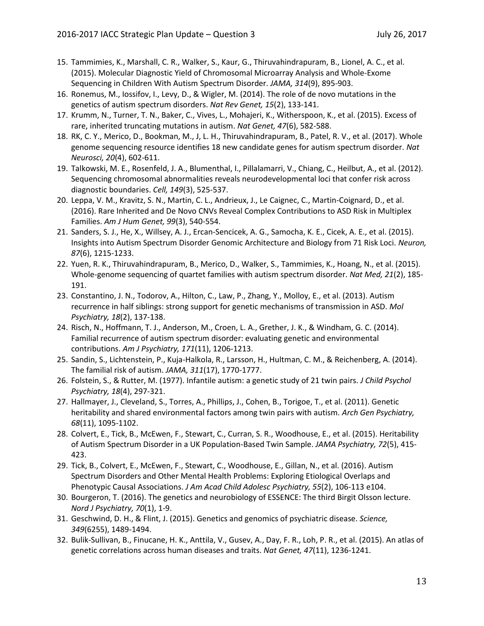- 15. Tammimies, K., Marshall, C. R., Walker, S., Kaur, G., Thiruvahindrapuram, B., Lionel, A. C., et al. (2015). Molecular Diagnostic Yield of Chromosomal Microarray Analysis and Whole-Exome Sequencing in Children With Autism Spectrum Disorder. *JAMA, 314*(9), 895-903.
- 16. Ronemus, M., Iossifov, I., Levy, D., & Wigler, M. (2014). The role of de novo mutations in the genetics of autism spectrum disorders. *Nat Rev Genet, 15*(2), 133-141.
- 17. Krumm, N., Turner, T. N., Baker, C., Vives, L., Mohajeri, K., Witherspoon, K., et al. (2015). Excess of rare, inherited truncating mutations in autism. *Nat Genet, 47*(6), 582-588.
- 18. RK, C. Y., Merico, D., Bookman, M., J, L. H., Thiruvahindrapuram, B., Patel, R. V., et al. (2017). Whole genome sequencing resource identifies 18 new candidate genes for autism spectrum disorder. *Nat Neurosci, 20*(4), 602-611.
- 19. Talkowski, M. E., Rosenfeld, J. A., Blumenthal, I., Pillalamarri, V., Chiang, C., Heilbut, A., et al. (2012). Sequencing chromosomal abnormalities reveals neurodevelopmental loci that confer risk across diagnostic boundaries. *Cell, 149*(3), 525-537.
- 20. Leppa, V. M., Kravitz, S. N., Martin, C. L., Andrieux, J., Le Caignec, C., Martin-Coignard, D., et al. (2016). Rare Inherited and De Novo CNVs Reveal Complex Contributions to ASD Risk in Multiplex Families. *Am J Hum Genet, 99*(3), 540-554.
- 21. Sanders, S. J., He, X., Willsey, A. J., Ercan-Sencicek, A. G., Samocha, K. E., Cicek, A. E., et al. (2015). Insights into Autism Spectrum Disorder Genomic Architecture and Biology from 71 Risk Loci. *Neuron, 87*(6), 1215-1233.
- 22. Yuen, R. K., Thiruvahindrapuram, B., Merico, D., Walker, S., Tammimies, K., Hoang, N., et al. (2015). Whole-genome sequencing of quartet families with autism spectrum disorder. *Nat Med, 21*(2), 185- 191.
- 23. Constantino, J. N., Todorov, A., Hilton, C., Law, P., Zhang, Y., Molloy, E., et al. (2013). Autism recurrence in half siblings: strong support for genetic mechanisms of transmission in ASD. *Mol Psychiatry, 18*(2), 137-138.
- 24. Risch, N., Hoffmann, T. J., Anderson, M., Croen, L. A., Grether, J. K., & Windham, G. C. (2014). Familial recurrence of autism spectrum disorder: evaluating genetic and environmental contributions. *Am J Psychiatry, 171*(11), 1206-1213.
- 25. Sandin, S., Lichtenstein, P., Kuja-Halkola, R., Larsson, H., Hultman, C. M., & Reichenberg, A. (2014). The familial risk of autism. *JAMA, 311*(17), 1770-1777.
- 26. Folstein, S., & Rutter, M. (1977). Infantile autism: a genetic study of 21 twin pairs. *J Child Psychol Psychiatry, 18*(4), 297-321.
- 27. Hallmayer, J., Cleveland, S., Torres, A., Phillips, J., Cohen, B., Torigoe, T., et al. (2011). Genetic heritability and shared environmental factors among twin pairs with autism. *Arch Gen Psychiatry, 68*(11), 1095-1102.
- 28. Colvert, E., Tick, B., McEwen, F., Stewart, C., Curran, S. R., Woodhouse, E., et al. (2015). Heritability of Autism Spectrum Disorder in a UK Population-Based Twin Sample. *JAMA Psychiatry, 72*(5), 415- 423.
- 29. Tick, B., Colvert, E., McEwen, F., Stewart, C., Woodhouse, E., Gillan, N., et al. (2016). Autism Spectrum Disorders and Other Mental Health Problems: Exploring Etiological Overlaps and Phenotypic Causal Associations. *J Am Acad Child Adolesc Psychiatry, 55*(2), 106-113 e104.
- 30. Bourgeron, T. (2016). The genetics and neurobiology of ESSENCE: The third Birgit Olsson lecture. *Nord J Psychiatry, 70*(1), 1-9.
- 31. Geschwind, D. H., & Flint, J. (2015). Genetics and genomics of psychiatric disease. *Science, 349*(6255), 1489-1494.
- 32. Bulik-Sullivan, B., Finucane, H. K., Anttila, V., Gusev, A., Day, F. R., Loh, P. R., et al. (2015). An atlas of genetic correlations across human diseases and traits. *Nat Genet, 47*(11), 1236-1241.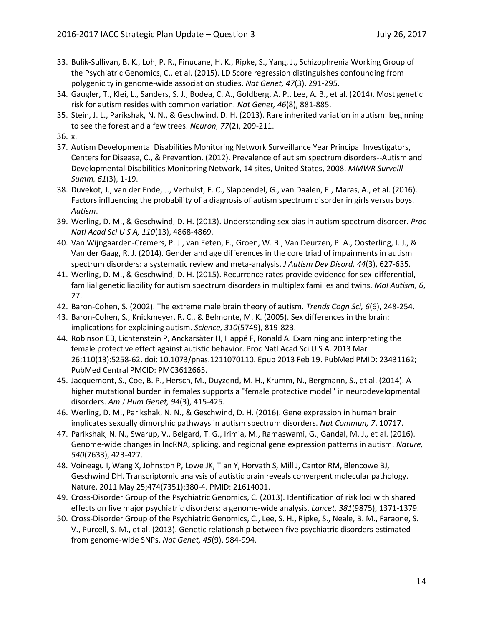- 33. Bulik-Sullivan, B. K., Loh, P. R., Finucane, H. K., Ripke, S., Yang, J., Schizophrenia Working Group of the Psychiatric Genomics, C., et al. (2015). LD Score regression distinguishes confounding from polygenicity in genome-wide association studies. *Nat Genet, 47*(3), 291-295.
- 34. Gaugler, T., Klei, L., Sanders, S. J., Bodea, C. A., Goldberg, A. P., Lee, A. B., et al. (2014). Most genetic risk for autism resides with common variation. *Nat Genet, 46*(8), 881-885.
- 35. Stein, J. L., Parikshak, N. N., & Geschwind, D. H. (2013). Rare inherited variation in autism: beginning to see the forest and a few trees. *Neuron, 77*(2), 209-211.
- 36. x.
- 37. Autism Developmental Disabilities Monitoring Network Surveillance Year Principal Investigators, Centers for Disease, C., & Prevention. (2012). Prevalence of autism spectrum disorders--Autism and Developmental Disabilities Monitoring Network, 14 sites, United States, 2008. *MMWR Surveill Summ, 61*(3), 1-19.
- 38. Duvekot, J., van der Ende, J., Verhulst, F. C., Slappendel, G., van Daalen, E., Maras, A., et al. (2016). Factors influencing the probability of a diagnosis of autism spectrum disorder in girls versus boys. *Autism*.
- 39. Werling, D. M., & Geschwind, D. H. (2013). Understanding sex bias in autism spectrum disorder. *Proc Natl Acad Sci U S A, 110*(13), 4868-4869.
- 40. Van Wijngaarden-Cremers, P. J., van Eeten, E., Groen, W. B., Van Deurzen, P. A., Oosterling, I. J., & Van der Gaag, R. J. (2014). Gender and age differences in the core triad of impairments in autism spectrum disorders: a systematic review and meta-analysis. *J Autism Dev Disord, 44*(3), 627-635.
- 41. Werling, D. M., & Geschwind, D. H. (2015). Recurrence rates provide evidence for sex-differential, familial genetic liability for autism spectrum disorders in multiplex families and twins. *Mol Autism, 6*, 27.
- 42. Baron-Cohen, S. (2002). The extreme male brain theory of autism. *Trends Cogn Sci, 6*(6), 248-254.
- 43. Baron-Cohen, S., Knickmeyer, R. C., & Belmonte, M. K. (2005). Sex differences in the brain: implications for explaining autism. *Science, 310*(5749), 819-823.
- 44. Robinson EB, Lichtenstein P, Anckarsäter H, Happé F, Ronald A. Examining and interpreting the female protective effect against autistic behavior. Proc Natl Acad Sci U S A. 2013 Mar 26;110(13):5258-62. doi: 10.1073/pnas.1211070110. Epub 2013 Feb 19. PubMed PMID: 23431162; PubMed Central PMCID: PMC3612665.
- 45. Jacquemont, S., Coe, B. P., Hersch, M., Duyzend, M. H., Krumm, N., Bergmann, S., et al. (2014). A higher mutational burden in females supports a "female protective model" in neurodevelopmental disorders. *Am J Hum Genet, 94*(3), 415-425.
- 46. Werling, D. M., Parikshak, N. N., & Geschwind, D. H. (2016). Gene expression in human brain implicates sexually dimorphic pathways in autism spectrum disorders. *Nat Commun, 7*, 10717.
- 47. Parikshak, N. N., Swarup, V., Belgard, T. G., Irimia, M., Ramaswami, G., Gandal, M. J., et al. (2016). Genome-wide changes in lncRNA, splicing, and regional gene expression patterns in autism. *Nature, 540*(7633), 423-427.
- 48. Voineagu I, Wang X, Johnston P, Lowe JK, Tian Y, Horvath S, Mill J, Cantor RM, Blencowe BJ, Geschwind DH. Transcriptomic analysis of autistic brain reveals convergent molecular pathology. Nature. 2011 May 25;474(7351):380-4. PMID: 21614001.
- 49. Cross-Disorder Group of the Psychiatric Genomics, C. (2013). Identification of risk loci with shared effects on five major psychiatric disorders: a genome-wide analysis. *Lancet, 381*(9875), 1371-1379.
- 50. Cross-Disorder Group of the Psychiatric Genomics, C., Lee, S. H., Ripke, S., Neale, B. M., Faraone, S. V., Purcell, S. M., et al. (2013). Genetic relationship between five psychiatric disorders estimated from genome-wide SNPs. *Nat Genet, 45*(9), 984-994.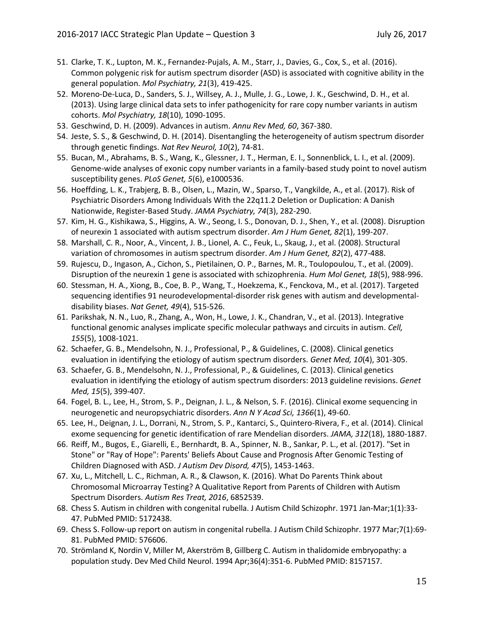- 51. Clarke, T. K., Lupton, M. K., Fernandez-Pujals, A. M., Starr, J., Davies, G., Cox, S., et al. (2016). Common polygenic risk for autism spectrum disorder (ASD) is associated with cognitive ability in the general population. *Mol Psychiatry, 21*(3), 419-425.
- 52. Moreno-De-Luca, D., Sanders, S. J., Willsey, A. J., Mulle, J. G., Lowe, J. K., Geschwind, D. H., et al. (2013). Using large clinical data sets to infer pathogenicity for rare copy number variants in autism cohorts. *Mol Psychiatry, 18*(10), 1090-1095.
- 53. Geschwind, D. H. (2009). Advances in autism. *Annu Rev Med, 60*, 367-380.
- 54. Jeste, S. S., & Geschwind, D. H. (2014). Disentangling the heterogeneity of autism spectrum disorder through genetic findings. *Nat Rev Neurol, 10*(2), 74-81.
- 55. Bucan, M., Abrahams, B. S., Wang, K., Glessner, J. T., Herman, E. I., Sonnenblick, L. I., et al. (2009). Genome-wide analyses of exonic copy number variants in a family-based study point to novel autism susceptibility genes. *PLoS Genet, 5*(6), e1000536.
- 56. Hoeffding, L. K., Trabjerg, B. B., Olsen, L., Mazin, W., Sparso, T., Vangkilde, A., et al. (2017). Risk of Psychiatric Disorders Among Individuals With the 22q11.2 Deletion or Duplication: A Danish Nationwide, Register-Based Study. *JAMA Psychiatry, 74*(3), 282-290.
- 57. Kim, H. G., Kishikawa, S., Higgins, A. W., Seong, I. S., Donovan, D. J., Shen, Y., et al. (2008). Disruption of neurexin 1 associated with autism spectrum disorder. *Am J Hum Genet, 82*(1), 199-207.
- 58. Marshall, C. R., Noor, A., Vincent, J. B., Lionel, A. C., Feuk, L., Skaug, J., et al. (2008). Structural variation of chromosomes in autism spectrum disorder. *Am J Hum Genet, 82*(2), 477-488.
- 59. Rujescu, D., Ingason, A., Cichon, S., Pietilainen, O. P., Barnes, M. R., Toulopoulou, T., et al. (2009). Disruption of the neurexin 1 gene is associated with schizophrenia. *Hum Mol Genet, 18*(5), 988-996.
- 60. Stessman, H. A., Xiong, B., Coe, B. P., Wang, T., Hoekzema, K., Fenckova, M., et al. (2017). Targeted sequencing identifies 91 neurodevelopmental-disorder risk genes with autism and developmentaldisability biases. *Nat Genet, 49*(4), 515-526.
- 61. Parikshak, N. N., Luo, R., Zhang, A., Won, H., Lowe, J. K., Chandran, V., et al. (2013). Integrative functional genomic analyses implicate specific molecular pathways and circuits in autism. *Cell, 155*(5), 1008-1021.
- 62. Schaefer, G. B., Mendelsohn, N. J., Professional, P., & Guidelines, C. (2008). Clinical genetics evaluation in identifying the etiology of autism spectrum disorders. *Genet Med, 10*(4), 301-305.
- 63. Schaefer, G. B., Mendelsohn, N. J., Professional, P., & Guidelines, C. (2013). Clinical genetics evaluation in identifying the etiology of autism spectrum disorders: 2013 guideline revisions. *Genet Med, 15*(5), 399-407.
- 64. Fogel, B. L., Lee, H., Strom, S. P., Deignan, J. L., & Nelson, S. F. (2016). Clinical exome sequencing in neurogenetic and neuropsychiatric disorders. *Ann N Y Acad Sci, 1366*(1), 49-60.
- 65. Lee, H., Deignan, J. L., Dorrani, N., Strom, S. P., Kantarci, S., Quintero-Rivera, F., et al. (2014). Clinical exome sequencing for genetic identification of rare Mendelian disorders. *JAMA, 312*(18), 1880-1887.
- 66. Reiff, M., Bugos, E., Giarelli, E., Bernhardt, B. A., Spinner, N. B., Sankar, P. L., et al. (2017). "Set in Stone" or "Ray of Hope": Parents' Beliefs About Cause and Prognosis After Genomic Testing of Children Diagnosed with ASD. *J Autism Dev Disord, 47*(5), 1453-1463.
- 67. Xu, L., Mitchell, L. C., Richman, A. R., & Clawson, K. (2016). What Do Parents Think about Chromosomal Microarray Testing? A Qualitative Report from Parents of Children with Autism Spectrum Disorders. *Autism Res Treat, 2016*, 6852539.
- 68. Chess S. Autism in children with congenital rubella. J Autism Child Schizophr. 1971 Jan-Mar;1(1):33- 47. PubMed PMID: 5172438.
- 69. Chess S. Follow-up report on autism in congenital rubella. J Autism Child Schizophr. 1977 Mar;7(1):69- 81. PubMed PMID: 576606.
- 70. Strömland K, Nordin V, Miller M, Akerström B, Gillberg C. Autism in thalidomide embryopathy: a population study. Dev Med Child Neurol. 1994 Apr;36(4):351-6. PubMed PMID: 8157157.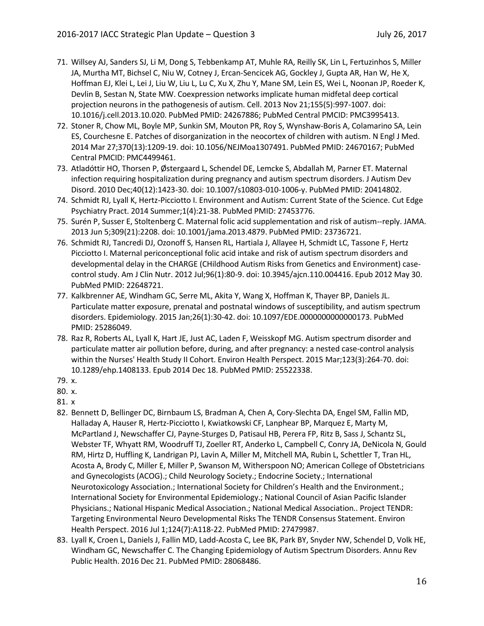- 71. Willsey AJ, Sanders SJ, Li M, Dong S, Tebbenkamp AT, Muhle RA, Reilly SK, Lin L, Fertuzinhos S, Miller JA, Murtha MT, Bichsel C, Niu W, Cotney J, Ercan-Sencicek AG, Gockley J, Gupta AR, Han W, He X, Hoffman EJ, Klei L, Lei J, Liu W, Liu L, Lu C, Xu X, Zhu Y, Mane SM, Lein ES, Wei L, Noonan JP, Roeder K, Devlin B, Sestan N, State MW. Coexpression networks implicate human midfetal deep cortical projection neurons in the pathogenesis of autism. Cell. 2013 Nov 21;155(5):997-1007. doi: 10.1016/j.cell.2013.10.020. PubMed PMID: 24267886; PubMed Central PMCID: PMC3995413.
- 72. Stoner R, Chow ML, Boyle MP, Sunkin SM, Mouton PR, Roy S, Wynshaw-Boris A, Colamarino SA, Lein ES, Courchesne E. Patches of disorganization in the neocortex of children with autism. N Engl J Med. 2014 Mar 27;370(13):1209-19. doi: 10.1056/NEJMoa1307491. PubMed PMID: 24670167; PubMed Central PMCID: PMC4499461.
- 73. Atladóttir HO, Thorsen P, Østergaard L, Schendel DE, Lemcke S, Abdallah M, Parner ET. Maternal infection requiring hospitalization during pregnancy and autism spectrum disorders. J Autism Dev Disord. 2010 Dec;40(12):1423-30. doi: 10.1007/s10803-010-1006-y. PubMed PMID: 20414802.
- 74. Schmidt RJ, Lyall K, Hertz-Picciotto I. Environment and Autism: Current State of the Science. Cut Edge Psychiatry Pract. 2014 Summer;1(4):21-38. PubMed PMID: 27453776.
- 75. Surén P, Susser E, Stoltenberg C. Maternal folic acid supplementation and risk of autism--reply. JAMA. 2013 Jun 5;309(21):2208. doi: 10.1001/jama.2013.4879. PubMed PMID: 23736721.
- 76. Schmidt RJ, Tancredi DJ, Ozonoff S, Hansen RL, Hartiala J, Allayee H, Schmidt LC, Tassone F, Hertz Picciotto I. Maternal periconceptional folic acid intake and risk of autism spectrum disorders and developmental delay in the CHARGE (CHildhood Autism Risks from Genetics and Environment) casecontrol study. Am J Clin Nutr. 2012 Jul;96(1):80-9. doi: 10.3945/ajcn.110.004416. Epub 2012 May 30. PubMed PMID: 22648721.
- 77. Kalkbrenner AE, Windham GC, Serre ML, Akita Y, Wang X, Hoffman K, Thayer BP, Daniels JL. Particulate matter exposure, prenatal and postnatal windows of susceptibility, and autism spectrum disorders. Epidemiology. 2015 Jan;26(1):30-42. doi: 10.1097/EDE.0000000000000173. PubMed PMID: 25286049.
- 78. Raz R, Roberts AL, Lyall K, Hart JE, Just AC, Laden F, Weisskopf MG. Autism spectrum disorder and particulate matter air pollution before, during, and after pregnancy: a nested case-control analysis within the Nurses' Health Study II Cohort. Environ Health Perspect. 2015 Mar;123(3):264-70. doi: 10.1289/ehp.1408133. Epub 2014 Dec 18. PubMed PMID: 25522338.
- 79. x.
- 80. x.
- 81. x
- 82. Bennett D, Bellinger DC, Birnbaum LS, Bradman A, Chen A, Cory-Slechta DA, Engel SM, Fallin MD, Halladay A, Hauser R, Hertz-Picciotto I, Kwiatkowski CF, Lanphear BP, Marquez E, Marty M, McPartland J, Newschaffer CJ, Payne-Sturges D, Patisaul HB, Perera FP, Ritz B, Sass J, Schantz SL, Webster TF, Whyatt RM, Woodruff TJ, Zoeller RT, Anderko L, Campbell C, Conry JA, DeNicola N, Gould RM, Hirtz D, Huffling K, Landrigan PJ, Lavin A, Miller M, Mitchell MA, Rubin L, Schettler T, Tran HL, Acosta A, Brody C, Miller E, Miller P, Swanson M, Witherspoon NO; American College of Obstetricians and Gynecologists (ACOG).; Child Neurology Society.; Endocrine Society.; International Neurotoxicology Association.; International Society for Children's Health and the Environment.; International Society for Environmental Epidemiology.; National Council of Asian Pacific Islander Physicians.; National Hispanic Medical Association.; National Medical Association.. Project TENDR: Targeting Environmental Neuro Developmental Risks The TENDR Consensus Statement. Environ Health Perspect. 2016 Jul 1;124(7):A118-22. PubMed PMID: 27479987.
- 83. Lyall K, Croen L, Daniels J, Fallin MD, Ladd-Acosta C, Lee BK, Park BY, Snyder NW, Schendel D, Volk HE, Windham GC, Newschaffer C. The Changing Epidemiology of Autism Spectrum Disorders. Annu Rev Public Health. 2016 Dec 21. PubMed PMID: 28068486.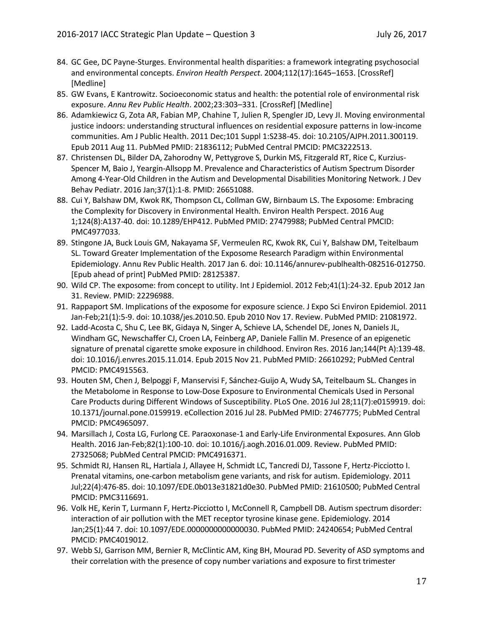- 84. GC Gee, DC Payne-Sturges. Environmental health disparities: a framework integrating psychosocial and environmental concepts. *Environ Health Perspect*. 2004;112(17):1645–1653. [CrossRef] [Medline]
- 85. GW Evans, E Kantrowitz. Socioeconomic status and health: the potential role of environmental risk exposure. *Annu Rev Public Health*. 2002;23:303–331. [CrossRef] [Medline]
- 86. Adamkiewicz G, Zota AR, Fabian MP, Chahine T, Julien R, Spengler JD, Levy JI. Moving environmental justice indoors: understanding structural influences on residential exposure patterns in low-income communities. Am J Public Health. 2011 Dec;101 Suppl 1:S238-45. doi: 10.2105/AJPH.2011.300119. Epub 2011 Aug 11. PubMed PMID: 21836112; PubMed Central PMCID: PMC3222513.
- 87. Christensen DL, Bilder DA, Zahorodny W, Pettygrove S, Durkin MS, Fitzgerald RT, Rice C, Kurzius-Spencer M, Baio J, Yeargin-Allsopp M. Prevalence and Characteristics of Autism Spectrum Disorder Among 4-Year-Old Children in the Autism and Developmental Disabilities Monitoring Network. J Dev Behav Pediatr. 2016 Jan;37(1):1-8. PMID: 26651088.
- 88. Cui Y, Balshaw DM, Kwok RK, Thompson CL, Collman GW, Birnbaum LS. The Exposome: Embracing the Complexity for Discovery in Environmental Health. Environ Health Perspect. 2016 Aug 1;124(8):A137-40. doi: 10.1289/EHP412. PubMed PMID: 27479988; PubMed Central PMCID: PMC4977033.
- 89. Stingone JA, Buck Louis GM, Nakayama SF, Vermeulen RC, Kwok RK, Cui Y, Balshaw DM, Teitelbaum SL. Toward Greater Implementation of the Exposome Research Paradigm within Environmental Epidemiology. Annu Rev Public Health. 2017 Jan 6. doi: 10.1146/annurev-publhealth-082516-012750. [Epub ahead of print] PubMed PMID: 28125387.
- 90. Wild CP. The exposome: from concept to utility. Int J Epidemiol. 2012 Feb;41(1):24-32. Epub 2012 Jan 31. Review. PMID: 22296988.
- 91. Rappaport SM. Implications of the exposome for exposure science. J Expo Sci Environ Epidemiol. 2011 Jan-Feb;21(1):5-9. doi: 10.1038/jes.2010.50. Epub 2010 Nov 17. Review. PubMed PMID: 21081972.
- 92. Ladd-Acosta C, Shu C, Lee BK, Gidaya N, Singer A, Schieve LA, Schendel DE, Jones N, Daniels JL, Windham GC, Newschaffer CJ, Croen LA, Feinberg AP, Daniele Fallin M. Presence of an epigenetic signature of prenatal cigarette smoke exposure in childhood. Environ Res. 2016 Jan;144(Pt A):139-48. doi: 10.1016/j.envres.2015.11.014. Epub 2015 Nov 21. PubMed PMID: 26610292; PubMed Central PMCID: PMC4915563.
- 93. Houten SM, Chen J, Belpoggi F, Manservisi F, Sánchez-Guijo A, Wudy SA, Teitelbaum SL. Changes in the Metabolome in Response to Low-Dose Exposure to Environmental Chemicals Used in Personal Care Products during Different Windows of Susceptibility. PLoS One. 2016 Jul 28;11(7):e0159919. doi: 10.1371/journal.pone.0159919. eCollection 2016 Jul 28. PubMed PMID: 27467775; PubMed Central PMCID: PMC4965097.
- 94. Marsillach J, Costa LG, Furlong CE. Paraoxonase-1 and Early-Life Environmental Exposures. Ann Glob Health. 2016 Jan-Feb;82(1):100-10. doi: 10.1016/j.aogh.2016.01.009. Review. PubMed PMID: 27325068; PubMed Central PMCID: PMC4916371.
- 95. Schmidt RJ, Hansen RL, Hartiala J, Allayee H, Schmidt LC, Tancredi DJ, Tassone F, Hertz-Picciotto I. Prenatal vitamins, one-carbon metabolism gene variants, and risk for autism. Epidemiology. 2011 Jul;22(4):476-85. doi: 10.1097/EDE.0b013e31821d0e30. PubMed PMID: 21610500; PubMed Central PMCID: PMC3116691.
- 96. Volk HE, Kerin T, Lurmann F, Hertz-Picciotto I, McConnell R, Campbell DB. Autism spectrum disorder: interaction of air pollution with the MET receptor tyrosine kinase gene. Epidemiology. 2014 Jan;25(1):44 7. doi: 10.1097/EDE.0000000000000030. PubMed PMID: 24240654; PubMed Central PMCID: PMC4019012.
- 97. Webb SJ, Garrison MM, Bernier R, McClintic AM, King BH, Mourad PD. Severity of ASD symptoms and their correlation with the presence of copy number variations and exposure to first trimester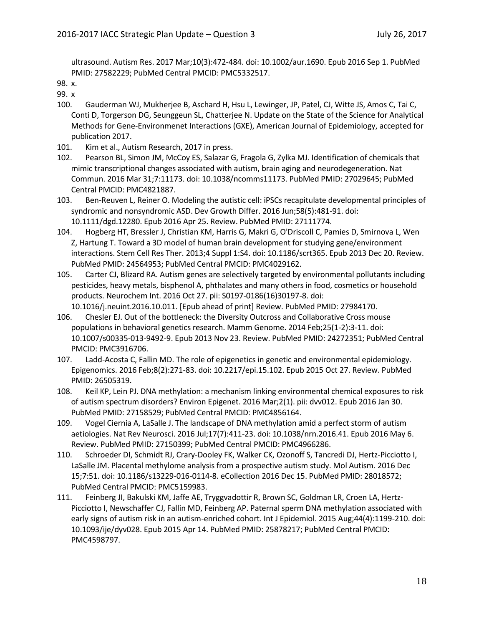ultrasound. Autism Res. 2017 Mar;10(3):472-484. doi: 10.1002/aur.1690. Epub 2016 Sep 1. PubMed PMID: 27582229; PubMed Central PMCID: PMC5332517.

99. x

- 100. Gauderman WJ, Mukherjee B, Aschard H, Hsu L, Lewinger, JP, Patel, CJ, Witte JS, Amos C, Tai C, Conti D, Torgerson DG, Seunggeun SL, Chatterjee N. Update on the State of the Science for Analytical Methods for Gene-Environmenet Interactions (GXE), American Journal of Epidemiology, accepted for publication 2017.
- 101. Kim et al., Autism Research, 2017 in press.
- 102. Pearson BL, Simon JM, McCoy ES, Salazar G, Fragola G, Zylka MJ. Identification of chemicals that mimic transcriptional changes associated with autism, brain aging and neurodegeneration. Nat Commun. 2016 Mar 31;7:11173. doi: 10.1038/ncomms11173. PubMed PMID: 27029645; PubMed Central PMCID: PMC4821887.
- 103. Ben-Reuven L, Reiner O. Modeling the autistic cell: iPSCs recapitulate developmental principles of syndromic and nonsyndromic ASD. Dev Growth Differ. 2016 Jun;58(5):481-91. doi: 10.1111/dgd.12280. Epub 2016 Apr 25. Review. PubMed PMID: 27111774.
- 104. Hogberg HT, Bressler J, Christian KM, Harris G, Makri G, O'Driscoll C, Pamies D, Smirnova L, Wen Z, Hartung T. Toward a 3D model of human brain development for studying gene/environment interactions. Stem Cell Res Ther. 2013;4 Suppl 1:S4. doi: 10.1186/scrt365. Epub 2013 Dec 20. Review. PubMed PMID: 24564953; PubMed Central PMCID: PMC4029162.
- 105. Carter CJ, Blizard RA. Autism genes are selectively targeted by environmental pollutants including pesticides, heavy metals, bisphenol A, phthalates and many others in food, cosmetics or household products. Neurochem Int. 2016 Oct 27. pii: S0197-0186(16)30197-8. doi: 10.1016/j.neuint.2016.10.011. [Epub ahead of print] Review. PubMed PMID: 27984170.
- 106. Chesler EJ. Out of the bottleneck: the Diversity Outcross and Collaborative Cross mouse populations in behavioral genetics research. Mamm Genome. 2014 Feb;25(1-2):3-11. doi: 10.1007/s00335-013-9492-9. Epub 2013 Nov 23. Review. PubMed PMID: 24272351; PubMed Central PMCID: PMC3916706.
- 107. Ladd-Acosta C, Fallin MD. The role of epigenetics in genetic and environmental epidemiology. Epigenomics. 2016 Feb;8(2):271-83. doi: 10.2217/epi.15.102. Epub 2015 Oct 27. Review. PubMed PMID: 26505319.
- 108. Keil KP, Lein PJ. DNA methylation: a mechanism linking environmental chemical exposures to risk of autism spectrum disorders? Environ Epigenet. 2016 Mar;2(1). pii: dvv012. Epub 2016 Jan 30. PubMed PMID: 27158529; PubMed Central PMCID: PMC4856164.
- 109. Vogel Ciernia A, LaSalle J. The landscape of DNA methylation amid a perfect storm of autism aetiologies. Nat Rev Neurosci. 2016 Jul;17(7):411-23. doi: 10.1038/nrn.2016.41. Epub 2016 May 6. Review. PubMed PMID: 27150399; PubMed Central PMCID: PMC4966286.
- 110. Schroeder DI, Schmidt RJ, Crary-Dooley FK, Walker CK, Ozonoff S, Tancredi DJ, Hertz-Picciotto I, LaSalle JM. Placental methylome analysis from a prospective autism study. Mol Autism. 2016 Dec 15;7:51. doi: 10.1186/s13229-016-0114-8. eCollection 2016 Dec 15. PubMed PMID: 28018572; PubMed Central PMCID: PMC5159983.
- 111. Feinberg JI, Bakulski KM, Jaffe AE, Tryggvadottir R, Brown SC, Goldman LR, Croen LA, Hertz-Picciotto I, Newschaffer CJ, Fallin MD, Feinberg AP. Paternal sperm DNA methylation associated with early signs of autism risk in an autism-enriched cohort. Int J Epidemiol. 2015 Aug;44(4):1199-210. doi: 10.1093/ije/dyv028. Epub 2015 Apr 14. PubMed PMID: 25878217; PubMed Central PMCID: PMC4598797.

<sup>98.</sup> x.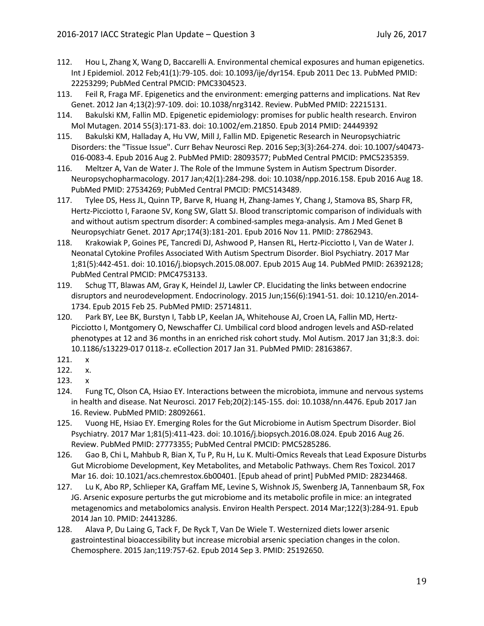- 112. Hou L, Zhang X, Wang D, Baccarelli A. Environmental chemical exposures and human epigenetics. Int J Epidemiol. 2012 Feb;41(1):79-105. doi: 10.1093/ije/dyr154. Epub 2011 Dec 13. PubMed PMID: 22253299; PubMed Central PMCID: PMC3304523.
- 113. Feil R, Fraga MF. Epigenetics and the environment: emerging patterns and implications. Nat Rev Genet. 2012 Jan 4;13(2):97-109. doi: 10.1038/nrg3142. Review. PubMed PMID: 22215131.
- 114. Bakulski KM, Fallin MD. Epigenetic epidemiology: promises for public health research. Environ Mol Mutagen. 2014 55(3):171-83. doi: 10.1002/em.21850. Epub 2014 PMID: 24449392
- 115. Bakulski KM, Halladay A, Hu VW, Mill J, Fallin MD. Epigenetic Research in Neuropsychiatric Disorders: the "Tissue Issue". Curr Behav Neurosci Rep. 2016 Sep;3(3):264-274. doi: 10.1007/s40473- 016-0083-4. Epub 2016 Aug 2. PubMed PMID: 28093577; PubMed Central PMCID: PMC5235359.
- 116. Meltzer A, Van de Water J. The Role of the Immune System in Autism Spectrum Disorder. Neuropsychopharmacology. 2017 Jan;42(1):284-298. doi: 10.1038/npp.2016.158. Epub 2016 Aug 18. PubMed PMID: 27534269; PubMed Central PMCID: PMC5143489.
- 117. Tylee DS, Hess JL, Quinn TP, Barve R, Huang H, Zhang-James Y, Chang J, Stamova BS, Sharp FR, Hertz-Picciotto I, Faraone SV, Kong SW, Glatt SJ. Blood transcriptomic comparison of individuals with and without autism spectrum disorder: A combined-samples mega-analysis. Am J Med Genet B Neuropsychiatr Genet. 2017 Apr;174(3):181-201. Epub 2016 Nov 11. PMID: 27862943.
- 118. Krakowiak P, Goines PE, Tancredi DJ, Ashwood P, Hansen RL, Hertz-Picciotto I, Van de Water J. Neonatal Cytokine Profiles Associated With Autism Spectrum Disorder. Biol Psychiatry. 2017 Mar 1;81(5):442-451. doi: 10.1016/j.biopsych.2015.08.007. Epub 2015 Aug 14. PubMed PMID: 26392128; PubMed Central PMCID: PMC4753133.
- 119. Schug TT, Blawas AM, Gray K, Heindel JJ, Lawler CP. Elucidating the links between endocrine disruptors and neurodevelopment. Endocrinology. 2015 Jun;156(6):1941-51. doi: 10.1210/en.2014- 1734. Epub 2015 Feb 25. PubMed PMID: 25714811.
- 120. Park BY, Lee BK, Burstyn I, Tabb LP, Keelan JA, Whitehouse AJ, Croen LA, Fallin MD, Hertz-Picciotto I, Montgomery O, Newschaffer CJ. Umbilical cord blood androgen levels and ASD-related phenotypes at 12 and 36 months in an enriched risk cohort study. Mol Autism. 2017 Jan 31;8:3. doi: 10.1186/s13229-017 0118-z. eCollection 2017 Jan 31. PubMed PMID: 28163867.
- 121. x
- 122. x.
- 123. x
- 124. Fung TC, Olson CA, Hsiao EY. Interactions between the microbiota, immune and nervous systems in health and disease. Nat Neurosci. 2017 Feb;20(2):145-155. doi: 10.1038/nn.4476. Epub 2017 Jan 16. Review. PubMed PMID: 28092661.
- 125. Vuong HE, Hsiao EY. Emerging Roles for the Gut Microbiome in Autism Spectrum Disorder. Biol Psychiatry. 2017 Mar 1;81(5):411-423. doi: 10.1016/j.biopsych.2016.08.024. Epub 2016 Aug 26. Review. PubMed PMID: 27773355; PubMed Central PMCID: PMC5285286.
- 126. Gao B, Chi L, Mahbub R, Bian X, Tu P, Ru H, Lu K. Multi-Omics Reveals that Lead Exposure Disturbs Gut Microbiome Development, Key Metabolites, and Metabolic Pathways. Chem Res Toxicol. 2017 Mar 16. doi: 10.1021/acs.chemrestox.6b00401. [Epub ahead of print] PubMed PMID: 28234468.
- 127. Lu K, Abo RP, Schlieper KA, Graffam ME, Levine S, Wishnok JS, Swenberg JA, Tannenbaum SR, Fox JG. Arsenic exposure perturbs the gut microbiome and its metabolic profile in mice: an integrated metagenomics and metabolomics analysis. Environ Health Perspect. 2014 Mar;122(3):284-91. Epub 2014 Jan 10. PMID: 24413286.
- 128. Alava P, Du Laing G, Tack F, De Ryck T, Van De Wiele T. Westernized diets lower arsenic gastrointestinal bioaccessibility but increase microbial arsenic speciation changes in the colon. Chemosphere. 2015 Jan;119:757-62. Epub 2014 Sep 3. PMID: 25192650.